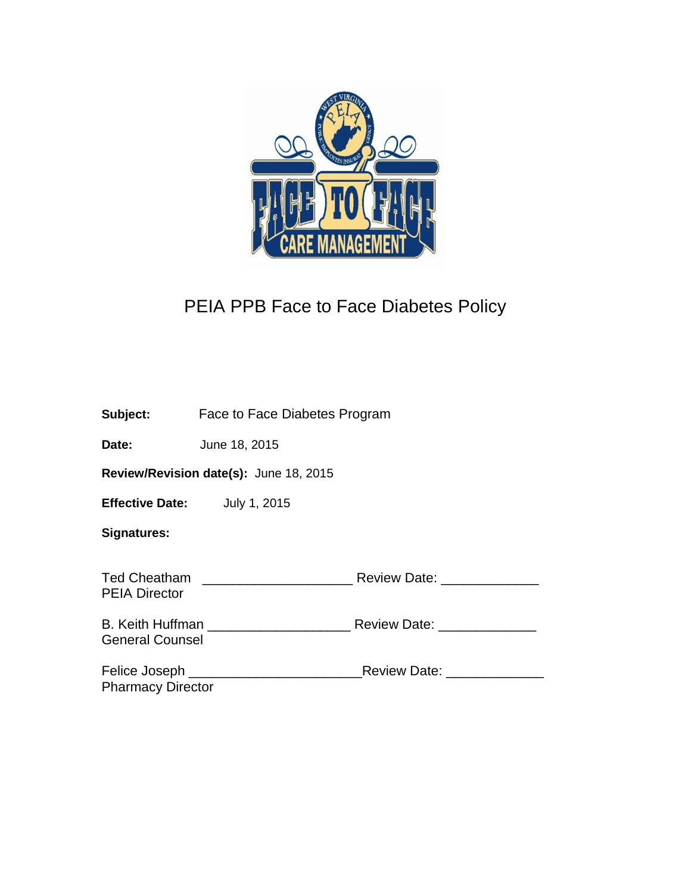

# PEIA PPB Face to Face Diabetes Policy

|                                        | <b>Subject:</b> Face to Face Diabetes Program |                            |  |  |  |
|----------------------------------------|-----------------------------------------------|----------------------------|--|--|--|
| Date:                                  | June 18, 2015                                 |                            |  |  |  |
| Review/Revision date(s): June 18, 2015 |                                               |                            |  |  |  |
| Effective Date: July 1, 2015           |                                               |                            |  |  |  |
| <b>Signatures:</b>                     |                                               |                            |  |  |  |
| <b>PEIA Director</b>                   |                                               |                            |  |  |  |
| <b>General Counsel</b>                 | B. Keith Huffman                              | Review Date: New York 1997 |  |  |  |
| <b>Pharmacy Director</b>               | Felice Joseph ______________________          | Review Date:               |  |  |  |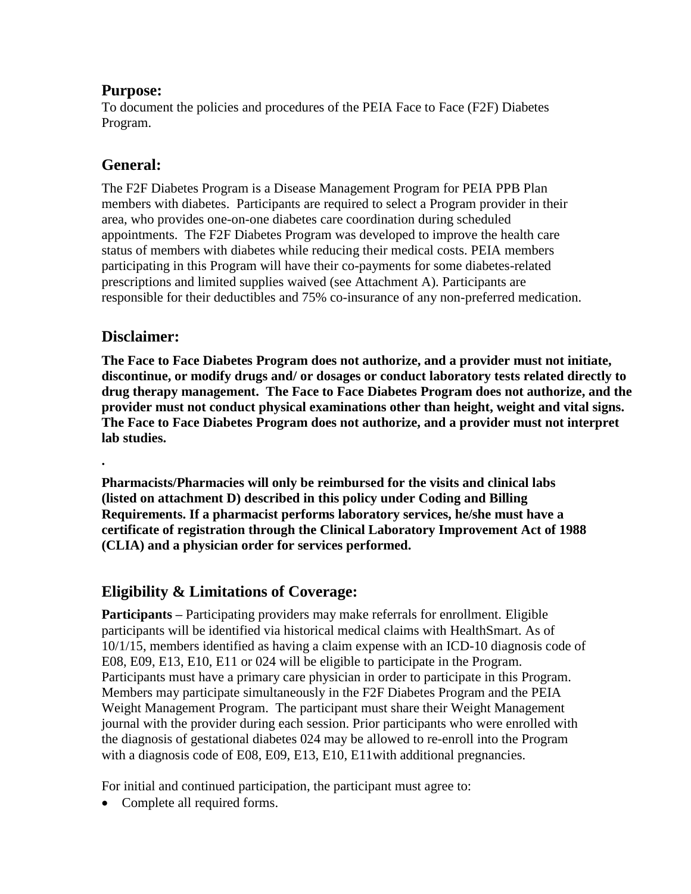## **Purpose:**

To document the policies and procedures of the PEIA Face to Face (F2F) Diabetes Program.

# **General:**

The F2F Diabetes Program is a Disease Management Program for PEIA PPB Plan members with diabetes. Participants are required to select a Program provider in their area, who provides one-on-one diabetes care coordination during scheduled appointments. The F2F Diabetes Program was developed to improve the health care status of members with diabetes while reducing their medical costs. PEIA members participating in this Program will have their co-payments for some diabetes-related prescriptions and limited supplies waived (see Attachment A). Participants are responsible for their deductibles and 75% co-insurance of any non-preferred medication.

## **Disclaimer:**

**The Face to Face Diabetes Program does not authorize, and a provider must not initiate, discontinue, or modify drugs and/ or dosages or conduct laboratory tests related directly to drug therapy management. The Face to Face Diabetes Program does not authorize, and the provider must not conduct physical examinations other than height, weight and vital signs. The Face to Face Diabetes Program does not authorize, and a provider must not interpret lab studies.**

**.** 

**Pharmacists/Pharmacies will only be reimbursed for the visits and clinical labs (listed on attachment D) described in this policy under Coding and Billing Requirements. If a pharmacist performs laboratory services, he/she must have a certificate of registration through the Clinical Laboratory Improvement Act of 1988 (CLIA) and a physician order for services performed.**

# **Eligibility & Limitations of Coverage:**

**Participants –** Participating providers may make referrals for enrollment. Eligible participants will be identified via historical medical claims with HealthSmart. As of 10/1/15, members identified as having a claim expense with an ICD-10 diagnosis code of E08, E09, E13, E10, E11 or 024 will be eligible to participate in the Program. Participants must have a primary care physician in order to participate in this Program. Members may participate simultaneously in the F2F Diabetes Program and the PEIA Weight Management Program. The participant must share their Weight Management journal with the provider during each session. Prior participants who were enrolled with the diagnosis of gestational diabetes 024 may be allowed to re-enroll into the Program with a diagnosis code of E08, E09, E13, E10, E11 with additional pregnancies.

For initial and continued participation, the participant must agree to:

• Complete all required forms.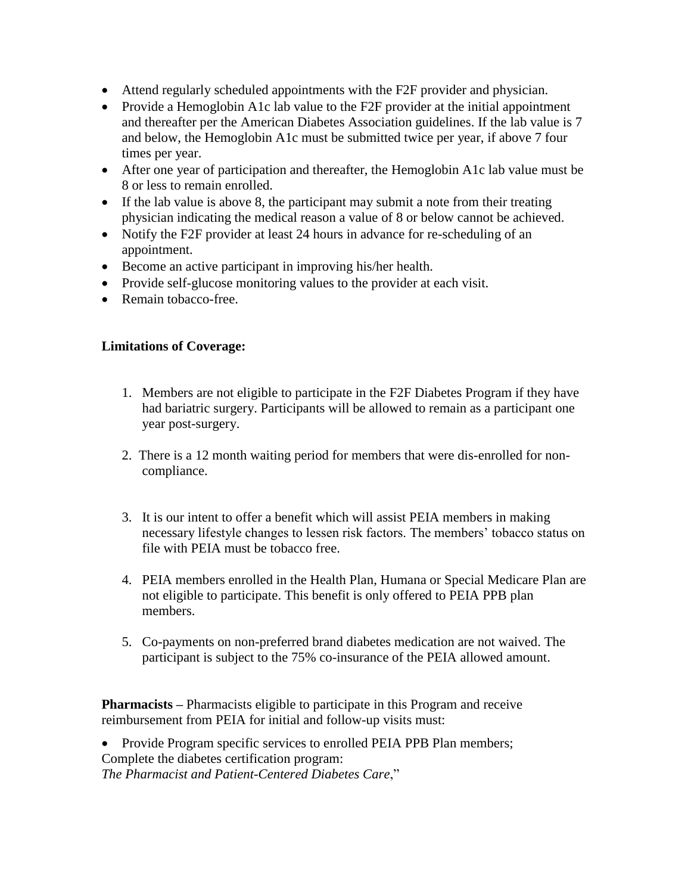- Attend regularly scheduled appointments with the F2F provider and physician.
- Provide a Hemoglobin A1c lab value to the F2F provider at the initial appointment and thereafter per the American Diabetes Association guidelines. If the lab value is 7 and below, the Hemoglobin A1c must be submitted twice per year, if above 7 four times per year.
- After one year of participation and thereafter, the Hemoglobin A1c lab value must be 8 or less to remain enrolled.
- If the lab value is above 8, the participant may submit a note from their treating physician indicating the medical reason a value of 8 or below cannot be achieved.
- Notify the F2F provider at least 24 hours in advance for re-scheduling of an appointment.
- Become an active participant in improving his/her health.
- Provide self-glucose monitoring values to the provider at each visit.
- Remain tobacco-free.

#### **Limitations of Coverage:**

- 1. Members are not eligible to participate in the F2F Diabetes Program if they have had bariatric surgery. Participants will be allowed to remain as a participant one year post-surgery.
- 2.There is a 12 month waiting period for members that were dis-enrolled for noncompliance.
- 3. It is our intent to offer a benefit which will assist PEIA members in making necessary lifestyle changes to lessen risk factors. The members' tobacco status on file with PEIA must be tobacco free.
- 4. PEIA members enrolled in the Health Plan, Humana or Special Medicare Plan are not eligible to participate. This benefit is only offered to PEIA PPB plan members.
- 5. Co-payments on non-preferred brand diabetes medication are not waived. The participant is subject to the 75% co-insurance of the PEIA allowed amount.

**Pharmacists –** Pharmacists eligible to participate in this Program and receive reimbursement from PEIA for initial and follow-up visits must:

• Provide Program specific services to enrolled PEIA PPB Plan members; Complete the diabetes certification program: *The Pharmacist and Patient-Centered Diabetes Care*,"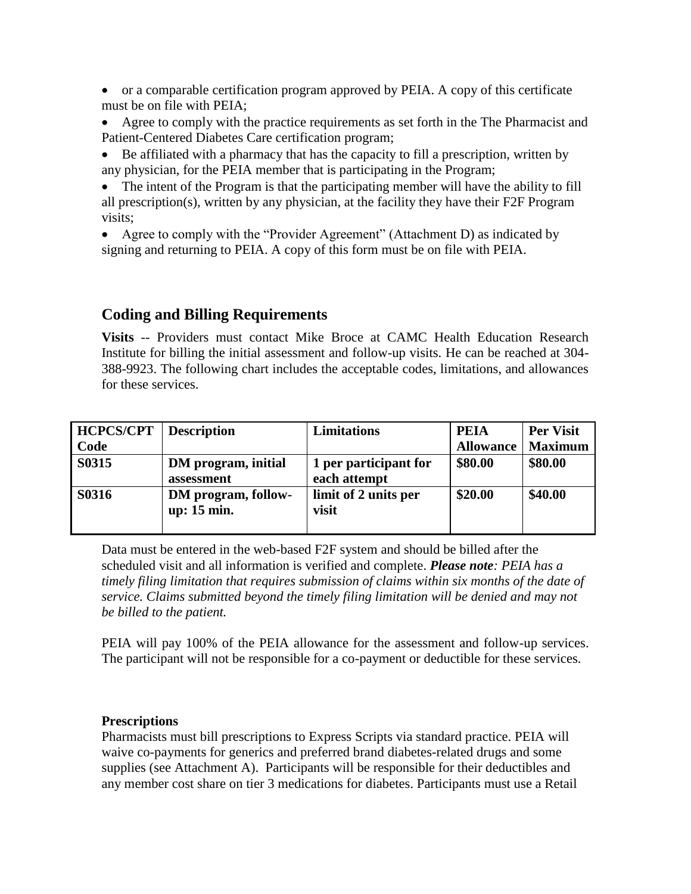- or a comparable certification program approved by PEIA. A copy of this certificate must be on file with PEIA;
- Agree to comply with the practice requirements as set forth in the The Pharmacist and Patient-Centered Diabetes Care certification program;
- Be affiliated with a pharmacy that has the capacity to fill a prescription, written by any physician, for the PEIA member that is participating in the Program;
- The intent of the Program is that the participating member will have the ability to fill all prescription(s), written by any physician, at the facility they have their F2F Program visits;
- Agree to comply with the "Provider Agreement" (Attachment D) as indicated by signing and returning to PEIA. A copy of this form must be on file with PEIA.

#### **Coding and Billing Requirements**

**Visits** -- Providers must contact Mike Broce at CAMC Health Education Research Institute for billing the initial assessment and follow-up visits. He can be reached at 304- 388-9923. The following chart includes the acceptable codes, limitations, and allowances for these services.

| <b>HCPCS/CPT</b> | <b>Description</b>                 | <b>Limitations</b>                    | <b>PEIA</b>      | <b>Per Visit</b> |
|------------------|------------------------------------|---------------------------------------|------------------|------------------|
| Code             |                                    |                                       | <b>Allowance</b> | <b>Maximum</b>   |
| S0315            | DM program, initial<br>assessment  | 1 per participant for<br>each attempt | \$80.00          | \$80.00          |
| <b>S0316</b>     | DM program, follow-<br>up: 15 min. | limit of 2 units per<br>visit         | \$20.00          | \$40.00          |

Data must be entered in the web-based F2F system and should be billed after the scheduled visit and all information is verified and complete. *Please note: PEIA has a timely filing limitation that requires submission of claims within six months of the date of service. Claims submitted beyond the timely filing limitation will be denied and may not be billed to the patient.*

PEIA will pay 100% of the PEIA allowance for the assessment and follow-up services. The participant will not be responsible for a co-payment or deductible for these services.

#### **Prescriptions**

Pharmacists must bill prescriptions to Express Scripts via standard practice. PEIA will waive co-payments for generics and preferred brand diabetes-related drugs and some supplies (see Attachment A). Participants will be responsible for their deductibles and any member cost share on tier 3 medications for diabetes. Participants must use a Retail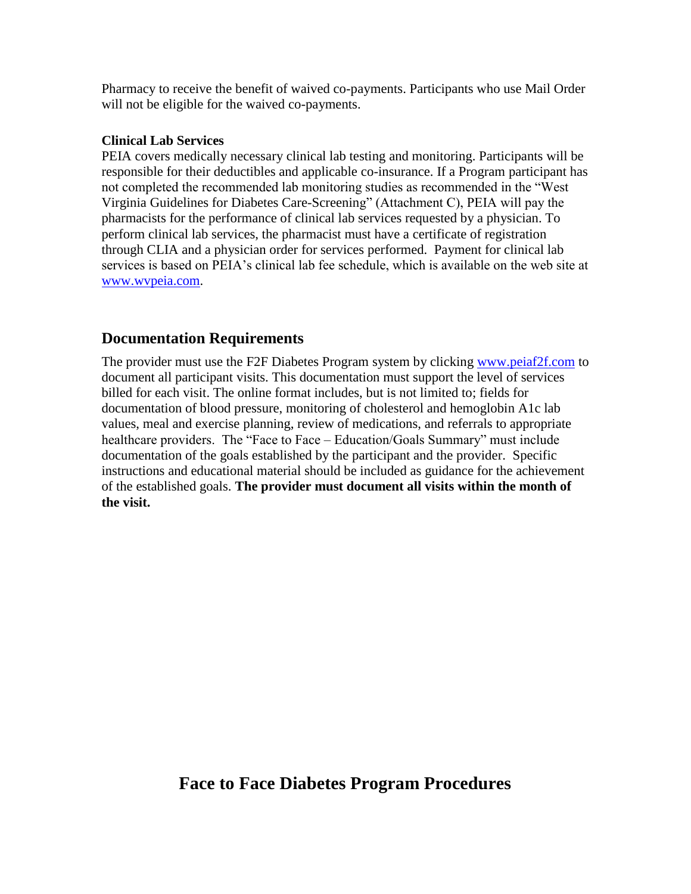Pharmacy to receive the benefit of waived co-payments. Participants who use Mail Order will not be eligible for the waived co-payments.

#### **Clinical Lab Services**

PEIA covers medically necessary clinical lab testing and monitoring. Participants will be responsible for their deductibles and applicable co-insurance. If a Program participant has not completed the recommended lab monitoring studies as recommended in the "West Virginia Guidelines for Diabetes Care-Screening" (Attachment C), PEIA will pay the pharmacists for the performance of clinical lab services requested by a physician. To perform clinical lab services, the pharmacist must have a certificate of registration through CLIA and a physician order for services performed. Payment for clinical lab services is based on PEIA's clinical lab fee schedule, which is available on the web site at [www.wvpeia.com.](http://www.wvpeia.com/)

#### **Documentation Requirements**

The provider must use the F2F Diabetes Program system by clicking [www.peiaf2f.com](http://www.peiaf2f.com/) to document all participant visits. This documentation must support the level of services billed for each visit. The online format includes, but is not limited to; fields for documentation of blood pressure, monitoring of cholesterol and hemoglobin A1c lab values, meal and exercise planning, review of medications, and referrals to appropriate healthcare providers. The "Face to Face – Education/Goals Summary" must include documentation of the goals established by the participant and the provider. Specific instructions and educational material should be included as guidance for the achievement of the established goals. **The provider must document all visits within the month of the visit.** 

# **Face to Face Diabetes Program Procedures**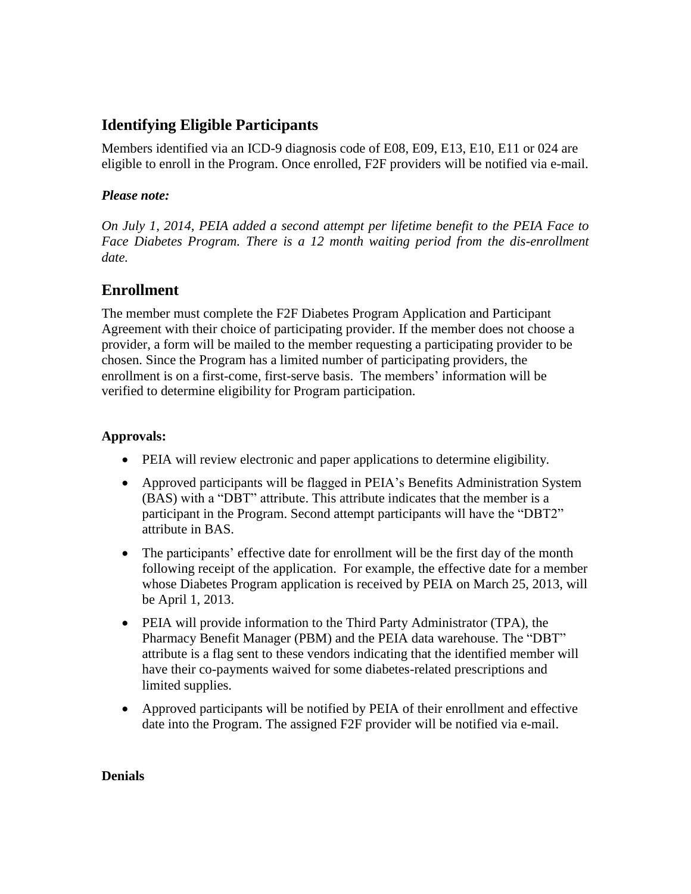# **Identifying Eligible Participants**

Members identified via an ICD-9 diagnosis code of E08, E09, E13, E10, E11 or 024 are eligible to enroll in the Program. Once enrolled, F2F providers will be notified via e-mail.

#### *Please note:*

*On July 1, 2014, PEIA added a second attempt per lifetime benefit to the PEIA Face to Face Diabetes Program. There is a 12 month waiting period from the dis-enrollment date.* 

# **Enrollment**

The member must complete the F2F Diabetes Program Application and Participant Agreement with their choice of participating provider. If the member does not choose a provider, a form will be mailed to the member requesting a participating provider to be chosen. Since the Program has a limited number of participating providers, the enrollment is on a first-come, first-serve basis. The members' information will be verified to determine eligibility for Program participation.

#### **Approvals:**

- PEIA will review electronic and paper applications to determine eligibility.
- Approved participants will be flagged in PEIA's Benefits Administration System (BAS) with a "DBT" attribute. This attribute indicates that the member is a participant in the Program. Second attempt participants will have the "DBT2" attribute in BAS.
- The participants' effective date for enrollment will be the first day of the month following receipt of the application. For example, the effective date for a member whose Diabetes Program application is received by PEIA on March 25, 2013, will be April 1, 2013.
- PEIA will provide information to the Third Party Administrator (TPA), the Pharmacy Benefit Manager (PBM) and the PEIA data warehouse. The "DBT" attribute is a flag sent to these vendors indicating that the identified member will have their co-payments waived for some diabetes-related prescriptions and limited supplies.
- Approved participants will be notified by PEIA of their enrollment and effective date into the Program. The assigned F2F provider will be notified via e-mail.

#### **Denials**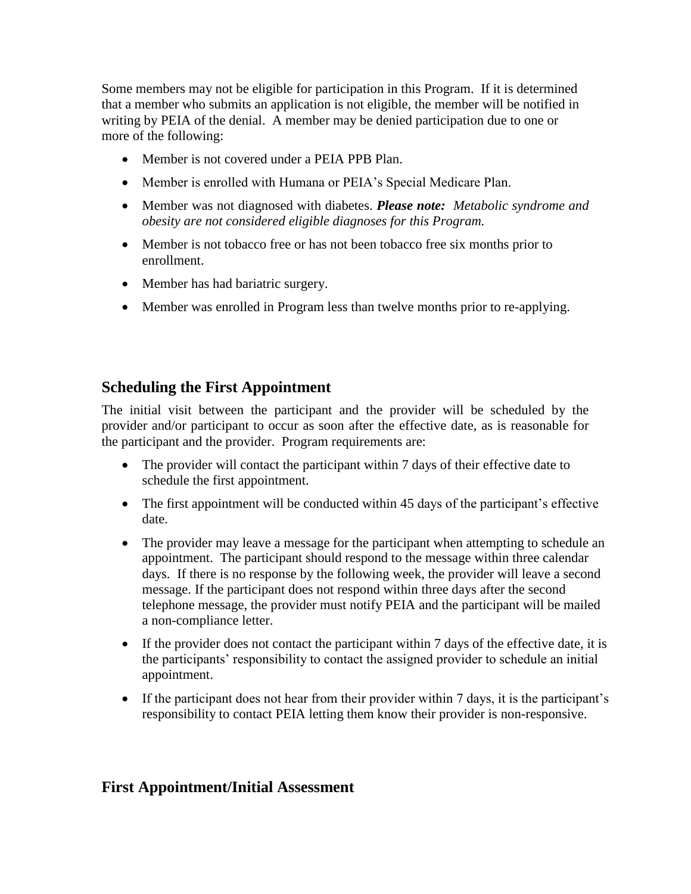Some members may not be eligible for participation in this Program. If it is determined that a member who submits an application is not eligible, the member will be notified in writing by PEIA of the denial. A member may be denied participation due to one or more of the following:

- Member is not covered under a PEIA PPB Plan.
- Member is enrolled with Humana or PEIA's Special Medicare Plan.
- Member was not diagnosed with diabetes. *Please note: Metabolic syndrome and obesity are not considered eligible diagnoses for this Program.*
- Member is not tobacco free or has not been tobacco free six months prior to enrollment.
- Member has had bariatric surgery.
- Member was enrolled in Program less than twelve months prior to re-applying.

# **Scheduling the First Appointment**

The initial visit between the participant and the provider will be scheduled by the provider and/or participant to occur as soon after the effective date, as is reasonable for the participant and the provider. Program requirements are:

- The provider will contact the participant within 7 days of their effective date to schedule the first appointment.
- The first appointment will be conducted within 45 days of the participant's effective date.
- The provider may leave a message for the participant when attempting to schedule an appointment. The participant should respond to the message within three calendar days. If there is no response by the following week, the provider will leave a second message. If the participant does not respond within three days after the second telephone message, the provider must notify PEIA and the participant will be mailed a non-compliance letter.
- If the provider does not contact the participant within 7 days of the effective date, it is the participants' responsibility to contact the assigned provider to schedule an initial appointment.
- If the participant does not hear from their provider within 7 days, it is the participant's responsibility to contact PEIA letting them know their provider is non-responsive.

## **First Appointment/Initial Assessment**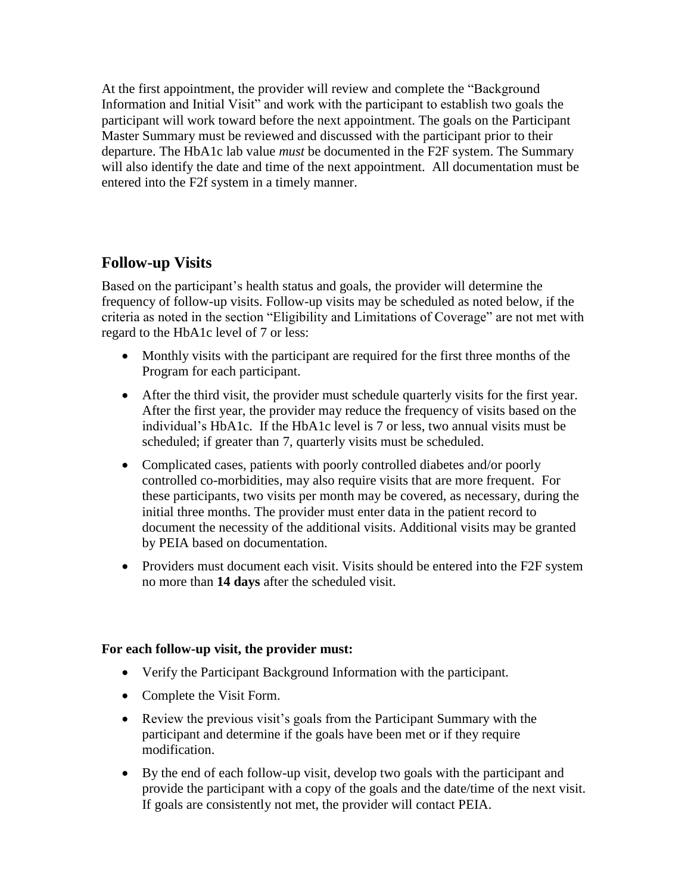At the first appointment, the provider will review and complete the "Background Information and Initial Visit" and work with the participant to establish two goals the participant will work toward before the next appointment. The goals on the Participant Master Summary must be reviewed and discussed with the participant prior to their departure. The HbA1c lab value *must* be documented in the F2F system. The Summary will also identify the date and time of the next appointment. All documentation must be entered into the F2f system in a timely manner.

# **Follow-up Visits**

Based on the participant's health status and goals, the provider will determine the frequency of follow-up visits. Follow-up visits may be scheduled as noted below, if the criteria as noted in the section "Eligibility and Limitations of Coverage" are not met with regard to the HbA1c level of 7 or less:

- Monthly visits with the participant are required for the first three months of the Program for each participant.
- After the third visit, the provider must schedule quarterly visits for the first year. After the first year, the provider may reduce the frequency of visits based on the individual's HbA1c. If the HbA1c level is 7 or less, two annual visits must be scheduled; if greater than 7, quarterly visits must be scheduled.
- Complicated cases, patients with poorly controlled diabetes and/or poorly controlled co-morbidities, may also require visits that are more frequent. For these participants, two visits per month may be covered, as necessary, during the initial three months. The provider must enter data in the patient record to document the necessity of the additional visits. Additional visits may be granted by PEIA based on documentation.
- Providers must document each visit. Visits should be entered into the F2F system no more than **14 days** after the scheduled visit.

#### **For each follow-up visit, the provider must:**

- Verify the Participant Background Information with the participant.
- Complete the Visit Form.
- Review the previous visit's goals from the Participant Summary with the participant and determine if the goals have been met or if they require modification.
- By the end of each follow-up visit, develop two goals with the participant and provide the participant with a copy of the goals and the date/time of the next visit. If goals are consistently not met, the provider will contact PEIA.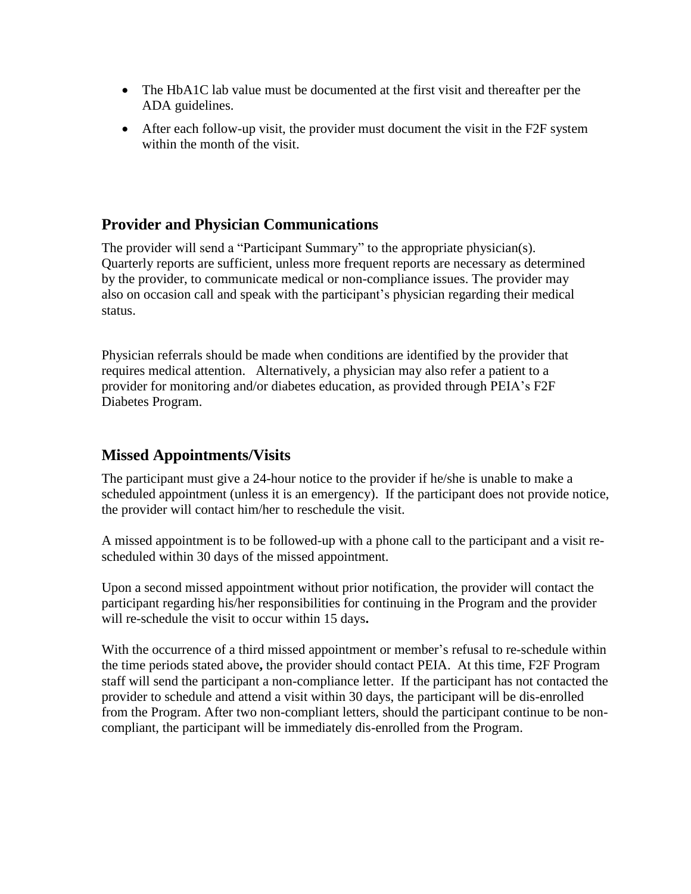- The HbA1C lab value must be documented at the first visit and thereafter per the ADA guidelines.
- After each follow-up visit, the provider must document the visit in the F2F system within the month of the visit.

## **Provider and Physician Communications**

The provider will send a "Participant Summary" to the appropriate physician(s). Quarterly reports are sufficient, unless more frequent reports are necessary as determined by the provider, to communicate medical or non-compliance issues. The provider may also on occasion call and speak with the participant's physician regarding their medical status.

Physician referrals should be made when conditions are identified by the provider that requires medical attention. Alternatively, a physician may also refer a patient to a provider for monitoring and/or diabetes education, as provided through PEIA's F2F Diabetes Program.

# **Missed Appointments/Visits**

The participant must give a 24-hour notice to the provider if he/she is unable to make a scheduled appointment (unless it is an emergency). If the participant does not provide notice, the provider will contact him/her to reschedule the visit.

A missed appointment is to be followed-up with a phone call to the participant and a visit rescheduled within 30 days of the missed appointment.

Upon a second missed appointment without prior notification, the provider will contact the participant regarding his/her responsibilities for continuing in the Program and the provider will re-schedule the visit to occur within 15 days**.** 

With the occurrence of a third missed appointment or member's refusal to re-schedule within the time periods stated above**,** the provider should contact PEIA. At this time, F2F Program staff will send the participant a non-compliance letter. If the participant has not contacted the provider to schedule and attend a visit within 30 days, the participant will be dis-enrolled from the Program. After two non-compliant letters, should the participant continue to be noncompliant, the participant will be immediately dis-enrolled from the Program.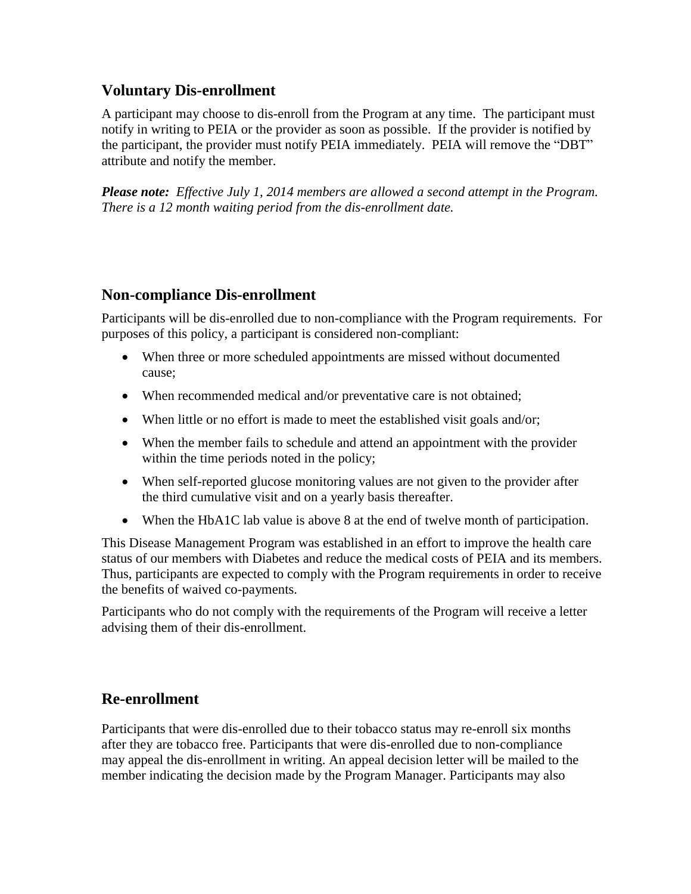### **Voluntary Dis-enrollment**

A participant may choose to dis-enroll from the Program at any time. The participant must notify in writing to PEIA or the provider as soon as possible. If the provider is notified by the participant, the provider must notify PEIA immediately. PEIA will remove the "DBT" attribute and notify the member.

*Please note: Effective July 1, 2014 members are allowed a second attempt in the Program. There is a 12 month waiting period from the dis-enrollment date.*

### **Non-compliance Dis-enrollment**

Participants will be dis-enrolled due to non-compliance with the Program requirements. For purposes of this policy, a participant is considered non-compliant:

- When three or more scheduled appointments are missed without documented cause;
- When recommended medical and/or preventative care is not obtained;
- When little or no effort is made to meet the established visit goals and/or;
- When the member fails to schedule and attend an appointment with the provider within the time periods noted in the policy;
- When self-reported glucose monitoring values are not given to the provider after the third cumulative visit and on a yearly basis thereafter.
- When the HbA1C lab value is above 8 at the end of twelve month of participation.

This Disease Management Program was established in an effort to improve the health care status of our members with Diabetes and reduce the medical costs of PEIA and its members. Thus, participants are expected to comply with the Program requirements in order to receive the benefits of waived co-payments.

Participants who do not comply with the requirements of the Program will receive a letter advising them of their dis-enrollment.

## **Re-enrollment**

Participants that were dis-enrolled due to their tobacco status may re-enroll six months after they are tobacco free. Participants that were dis-enrolled due to non-compliance may appeal the dis-enrollment in writing. An appeal decision letter will be mailed to the member indicating the decision made by the Program Manager. Participants may also